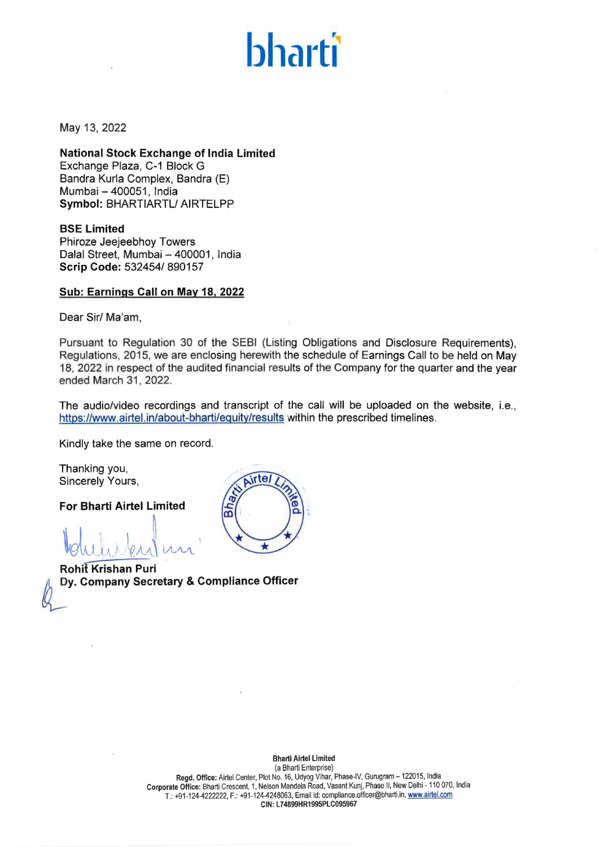# **bharti**

May 13, 2022

**National Stock Exchange of India Limited**  Exchange Plaza, C-1 Block G Bandra Kurla Complex, Bandra (E) Mumbai - 400051, India **Symbol:** BHARTIARTL/ AIRTELPP

**BSE Limited**  Phiroze Jeejeebhoy Towers Dalal Street, Mumbai - 400001, India **Scrip Code:** 532454/ 890157

### **Sub: Earnings Call on May 18, 2022**

Dear Sir/ Ma'am,

Pursuant to Regulation 30 of the SEBI (Listing Obligations and Disclosure Requirements), Regulations, 2015, we are enclosing herewith the schedule of Earnings Call to be held on May 18, 2022 in respect of the audited financial results of the Company for the quarter and the year ended March 31, 2022.

The audio/video recordings and transcript of the call will be uploaded on the website, i.e., https://www.airtel.in/about-bharti/equity/results within the prescribed timelines.

Kindly take the same on record.

Thanking you, Sincerely Yours,

**For Bharti Airtel Limited** 

 $\mathbb{I}_{\text{shular}}$ 

**Rohit Krishan Puri <br>Dy. Company Secretary & Compliance Officer** 

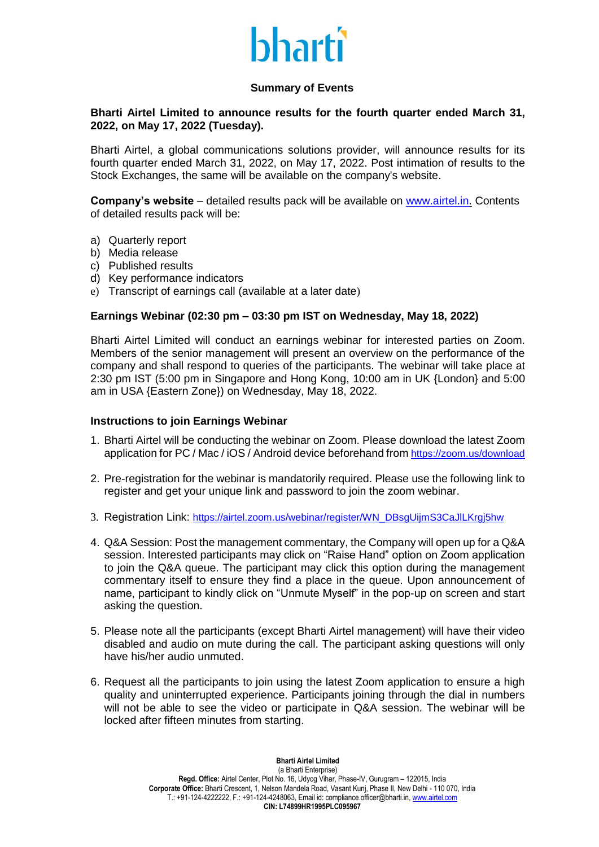## bharti

### **Summary of Events**

### **Bharti Airtel Limited to announce results for the fourth quarter ended March 31, 2022, on May 17, 2022 (Tuesday).**

Bharti Airtel, a global communications solutions provider, will announce results for its fourth quarter ended March 31, 2022, on May 17, 2022. Post intimation of results to the Stock Exchanges, the same will be available on the company's website.

**Company's website** – detailed results pack will be available on [www.airtel.in.](http://www.airtel.in/) Contents of detailed results pack will be:

- a) Quarterly report
- b) Media release
- c) Published results
- d) Key performance indicators
- e) Transcript of earnings call (available at a later date)

### **Earnings Webinar (02:30 pm – 03:30 pm IST on Wednesday, May 18, 2022)**

Bharti Airtel Limited will conduct an earnings webinar for interested parties on Zoom. Members of the senior management will present an overview on the performance of the company and shall respond to queries of the participants. The webinar will take place at 2:30 pm IST (5:00 pm in Singapore and Hong Kong, 10:00 am in UK {London} and 5:00 am in USA {Eastern Zone}) on Wednesday, May 18, 2022.

### **Instructions to join Earnings Webinar**

- 1. Bharti Airtel will be conducting the webinar on Zoom. Please download the latest Zoom application for PC / Mac / iOS / Android device beforehand from <https://zoom.us/download>
- 2. Pre-registration for the webinar is mandatorily required. Please use the following link to register and get your unique link and password to join the zoom webinar.
- 3. Registration Link: https://airtel.zoom.us/webinar/register/WN\_DBsgUijmS3CaJlLKrgi5hw
- 4. Q&A Session: Post the management commentary, the Company will open up for a Q&A session. Interested participants may click on "Raise Hand" option on Zoom application to join the Q&A queue. The participant may click this option during the management commentary itself to ensure they find a place in the queue. Upon announcement of name, participant to kindly click on "Unmute Myself" in the pop-up on screen and start asking the question.
- 5. Please note all the participants (except Bharti Airtel management) will have their video disabled and audio on mute during the call. The participant asking questions will only have his/her audio unmuted.
- 6. Request all the participants to join using the latest Zoom application to ensure a high quality and uninterrupted experience. Participants joining through the dial in numbers will not be able to see the video or participate in Q&A session. The webinar will be locked after fifteen minutes from starting.